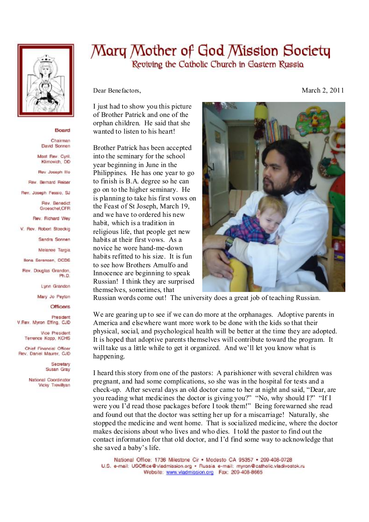

## Board

Chairman David Sonnen

Mast Rev. Cyril. Klimovich, DD

Rev Joseph Illo

Rev. Bernard Reiser

Rev. Joseph Fessio, SJ

Rev. Benedict Groeschel, CFR

Rev. Richard Wey

V. Rev. Robert Stoeckig

Sandra Sonnen

Melanee Taroia

**Ilona Sorensen, OCDS** 

Rev. Douglas Grandon. Ph.D.

Lynn Grandon

Mary Jo Peyton

**Officers** 

President V.Rev. Myron Effing, CJD

> Vice President Terrence Kopp, KCHS

Chief Financial Officer Rev. Daniel Maurer, CJD

> Secretary Susan Gray

National Coordinator Vicky Trevillyan

## Mary Mother of God Mission Society Reviving the Catholic Church in Eastern Russia

Dear Benefactors,

I just had to show you this picture of Brother Patrick and one of the orphan children. He said that she wanted to listen to his heart!

Brother Patrick has been accepted into the seminary for the school year beginning in June in the Philippines. He has one year to go to finish is B.A. degree so he can go on to the higher seminary. He is planning to take his first vows on the Feast of St Joseph, March 19, and we have to ordered his new habit, which is a tradition in religious life, that people get new habits at their first vows. As a novice he wore hand-me-down habits refitted to his size It is fun to see how Brothers Arnulfo and Innocence are beginning to speak Russian! I think they are surprised themselves, sometimes, that



Russian words come out! The university does a great job of teaching Russian.

We are gearing up to see if we can do more at the orphanages. Adoptive parents in America and elsewhere want more work to be done with the kids so that their physical, social, and psychological health will be better at the time they are adopted. It is hoped that adoptive parents themselves will contribute toward the program. It will take us a little while to get it organized. And we'll let you know what is happening.

I heard this story from one of the pastors: A parishioner with several children was pregnant, and had some complications, so she was in the hospital for tests and a check-up. After several days an old doctor came to her at night and said, "Dear, are you reading what medicines the doctor is giving you?" "No, why should I?" "If I were you I'd read those packages before I took them!" Being forewarned she read and found out that the doctor was setting her up for a miscarriage! Naturally, she stopped the medicine and went home. That is socialized medicine, where the doctor makes decisions about who lives and who dies. I told the pastor to find out the contact information for that old doctor, and I'd find some way to acknowledge that she saved a baby's life.

National Office: 1736 Milestone Cir . Modesto CA 95357 . 209-408-0728 U.S. e-mail: USOffice@vladmission.org · Russia e-mail: myron@catholic.vladivostok.ru Website: www.vladmission.org Fax: 209-408-8665

March 2, 2011